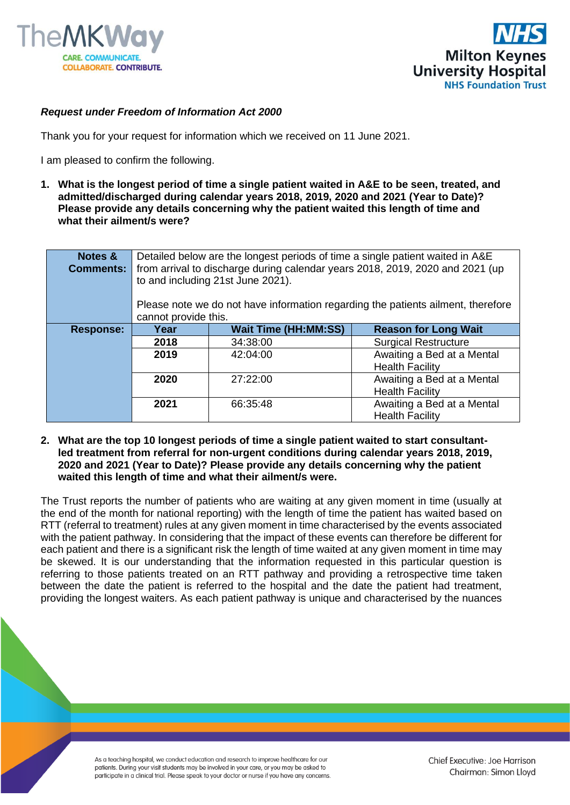



## *Request under Freedom of Information Act 2000*

Thank you for your request for information which we received on 11 June 2021.

I am pleased to confirm the following.

**1. What is the longest period of time a single patient waited in A&E to be seen, treated, and admitted/discharged during calendar years 2018, 2019, 2020 and 2021 (Year to Date)? Please provide any details concerning why the patient waited this length of time and what their ailment/s were?**

| Notes &<br><b>Comments:</b> | Detailed below are the longest periods of time a single patient waited in A&E<br>from arrival to discharge during calendar years 2018, 2019, 2020 and 2021 (up<br>to and including 21st June 2021).<br>Please note we do not have information regarding the patients ailment, therefore |                             |                                                      |
|-----------------------------|-----------------------------------------------------------------------------------------------------------------------------------------------------------------------------------------------------------------------------------------------------------------------------------------|-----------------------------|------------------------------------------------------|
|                             | cannot provide this.                                                                                                                                                                                                                                                                    |                             |                                                      |
| <b>Response:</b>            | Year                                                                                                                                                                                                                                                                                    | <b>Wait Time (HH:MM:SS)</b> | <b>Reason for Long Wait</b>                          |
|                             | 2018                                                                                                                                                                                                                                                                                    | 34:38:00                    | <b>Surgical Restructure</b>                          |
|                             | 2019                                                                                                                                                                                                                                                                                    | 42:04:00                    | Awaiting a Bed at a Mental                           |
|                             |                                                                                                                                                                                                                                                                                         |                             | <b>Health Facility</b>                               |
|                             | 2020                                                                                                                                                                                                                                                                                    | 27:22:00                    | Awaiting a Bed at a Mental                           |
|                             |                                                                                                                                                                                                                                                                                         |                             | <b>Health Facility</b>                               |
|                             | 2021                                                                                                                                                                                                                                                                                    | 66:35:48                    | Awaiting a Bed at a Mental<br><b>Health Facility</b> |

**2. What are the top 10 longest periods of time a single patient waited to start consultantled treatment from referral for non-urgent conditions during calendar years 2018, 2019, 2020 and 2021 (Year to Date)? Please provide any details concerning why the patient waited this length of time and what their ailment/s were.**

The Trust reports the number of patients who are waiting at any given moment in time (usually at the end of the month for national reporting) with the length of time the patient has waited based on RTT (referral to treatment) rules at any given moment in time characterised by the events associated with the patient pathway. In considering that the impact of these events can therefore be different for each patient and there is a significant risk the length of time waited at any given moment in time may be skewed. It is our understanding that the information requested in this particular question is referring to those patients treated on an RTT pathway and providing a retrospective time taken between the date the patient is referred to the hospital and the date the patient had treatment, providing the longest waiters. As each patient pathway is unique and characterised by the nuances

> As a teaching hospital, we conduct education and research to improve healthcare for our patients. During your visit students may be involved in your care, or you may be asked to participate in a clinical trial. Please speak to your doctor or nurse if you have any concerns.